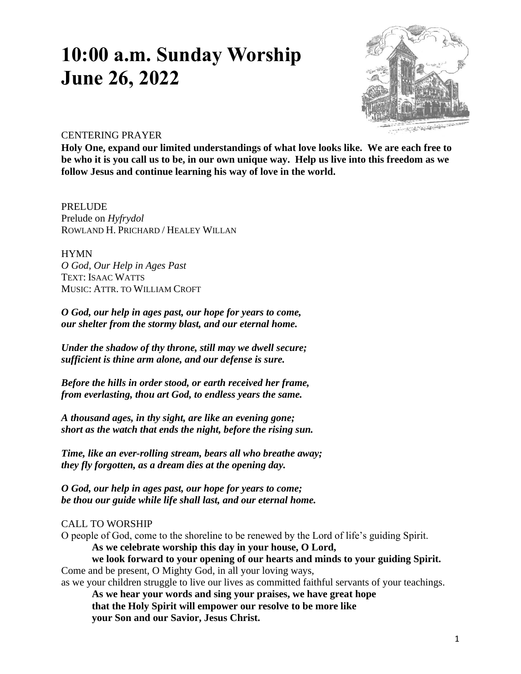# **10:00 a.m. Sunday Worship June 26, 2022**



# CENTERING PRAYER

**Holy One, expand our limited understandings of what love looks like. We are each free to be who it is you call us to be, in our own unique way. Help us live into this freedom as we follow Jesus and continue learning his way of love in the world.** 

PRELUDE Prelude on *Hyfrydol* ROWLAND H. PRICHARD / HEALEY WILLAN

**HYMN** *O God, Our Help in Ages Past* TEXT: ISAAC WATTS MUSIC: ATTR. TO WILLIAM CROFT

*O God, our help in ages past, our hope for years to come, our shelter from the stormy blast, and our eternal home.*

*Under the shadow of thy throne, still may we dwell secure; sufficient is thine arm alone, and our defense is sure.*

*Before the hills in order stood, or earth received her frame, from everlasting, thou art God, to endless years the same.*

*A thousand ages, in thy sight, are like an evening gone; short as the watch that ends the night, before the rising sun.*

*Time, like an ever-rolling stream, bears all who breathe away; they fly forgotten, as a dream dies at the opening day.*

*O God, our help in ages past, our hope for years to come; be thou our guide while life shall last, and our eternal home.*

# CALL TO WORSHIP

O people of God, come to the shoreline to be renewed by the Lord of life's guiding Spirit.

**As we celebrate worship this day in your house, O Lord,** 

**we look forward to your opening of our hearts and minds to your guiding Spirit.** Come and be present, O Mighty God, in all your loving ways,

as we your children struggle to live our lives as committed faithful servants of your teachings.

**As we hear your words and sing your praises, we have great hope that the Holy Spirit will empower our resolve to be more like your Son and our Savior, Jesus Christ.**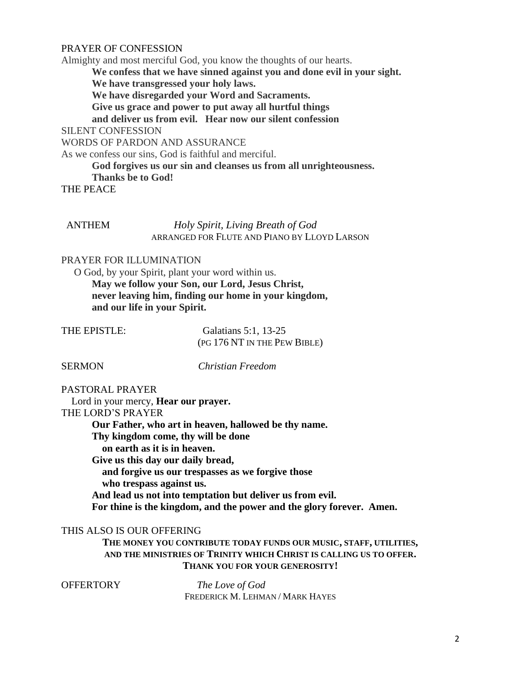# PRAYER OF CONFESSION

Almighty and most merciful God, you know the thoughts of our hearts. **We confess that we have sinned against you and done evil in your sight. We have transgressed your holy laws. We have disregarded your Word and Sacraments. Give us grace and power to put away all hurtful things and deliver us from evil. Hear now our silent confession** SILENT CONFESSION WORDS OF PARDON AND ASSURANCE As we confess our sins, God is faithful and merciful. **God forgives us our sin and cleanses us from all unrighteousness.**

**Thanks be to God!**

THE PEACE

## ANTHEM *Holy Spirit, Living Breath of God* ARRANGED FOR FLUTE AND PIANO BY LLOYD LARSON

#### PRAYER FOR ILLUMINATION

 O God, by your Spirit, plant your word within us. **May we follow your Son, our Lord, Jesus Christ, never leaving him, finding our home in your kingdom, and our life in your Spirit.**

| THE EPISTLE: | Galatians 5:1, 13-25         |
|--------------|------------------------------|
|              | (PG 176 NT IN THE PEW BIBLE) |

SERMON *Christian Freedom*

# PASTORAL PRAYER

 Lord in your mercy, **Hear our prayer.** THE LORD'S PRAYER **Our Father, who art in heaven, hallowed be thy name. Thy kingdom come, thy will be done on earth as it is in heaven. Give us this day our daily bread, and forgive us our trespasses as we forgive those who trespass against us. And lead us not into temptation but deliver us from evil. For thine is the kingdom, and the power and the glory forever. Amen.**

## THIS ALSO IS OUR OFFERING

**THE MONEY YOU CONTRIBUTE TODAY FUNDS OUR MUSIC, STAFF, UTILITIES, AND THE MINISTRIES OF TRINITY WHICH CHRIST IS CALLING US TO OFFER. THANK YOU FOR YOUR GENEROSITY!**

OFFERTORY *The Love of God* FREDERICK M. LEHMAN / MARK HAYES